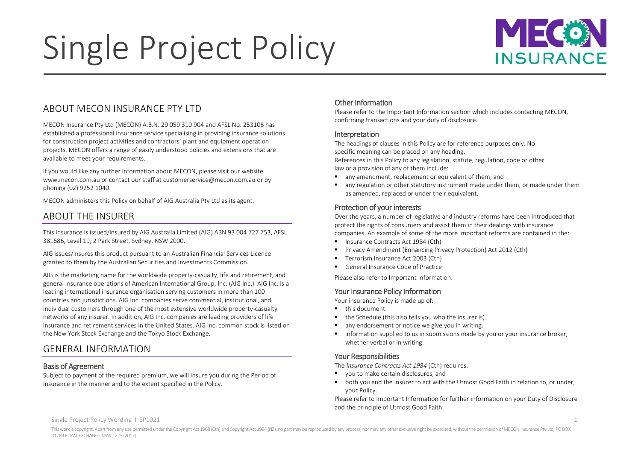# Single Project Policy



# <span id="page-0-0"></span>ABOUT MECON INSURANCE PTY LTD

MECON Insurance Pty Ltd (MECON) A.B.N. 29 059 310 904 and AFSL No. 253106 has established a professional insurance service specialising in providing insurance solutions for construction project activities and contractors' plant and equipment operation projects. MECON offers a range of easily understood policies and extensions that are available to meet your requirements.

If you would like any further information about MECON, please visit our website www.mecon.com.au or contact our staff at customerservice@mecon.com.au or by phoning (02) 9252 1040.

MECON administers this Policy on behalf of AIG Australia Pty Ltd as its agent.

# <span id="page-0-1"></span>ABOUT THE INSURER

This insurance is issued/insured by AIG Australia Limited (AIG) ABN 93 004 727 753, AFSL 381686, Level 19, 2 Park Street, Sydney, NSW 2000.

AIG issues/insures this product pursuant to an Australian Financial Services Licence granted to them by the Australian Securities and Investments Commission.

AIG is the marketing name for the worldwide property-casualty, life and retirement, and general insurance operations of American International Group, Inc. (AIG Inc.) AIG Inc. is a leading international insurance organisation serving customers in more than 100 countries and jurisdictions. AIG Inc. companies serve commercial, institutional, and individual customers through one of the most extensive worldwide property-casualty networks of any insurer. In addition, AIG Inc. companies are leading providers of life insurance and retirement services in the United States. AIG Inc. common stock is listed on the New York Stock Exchange and the Tokyo Stock Exchange.

# <span id="page-0-2"></span>GENERAL INFORMATION

## <span id="page-0-3"></span>Basis of Agreement

Subject to payment of the required premium, we will insure you during the Period of Insurance in the manner and to the extent specified in the Policy.

## <span id="page-0-4"></span>Other Information

Please refer to the Important Information section which includes contacting MECON, confirming transactions and your duty of disclosure.

#### <span id="page-0-5"></span>Interpretation

The headings of clauses in this Policy are for reference purposes only. No specific meaning can be placed on any heading.

References in this Policy to any legislation, statute, regulation, code or other law or a provision of any of them include:

- any amendment, replacement or equivalent of them; and
- any regulation or other statutory instrument made under them, or made under them as amended, replaced or under their equivalent.

## <span id="page-0-6"></span>Protection of your interests

Over the years, a number of legislative and industry reforms have been introduced that protect the rights of consumers and assist them in their dealings with insurance companies. An example of some of the more important reforms are contained in the:

- Insurance Contracts Act 1984 (Cth)
- Privacy Amendment (Enhancing Privacy Protection) Act 2012 (Cth)
- Terrorism Insurance Act 2003 (Cth)
- General Insurance Code of Practice

Please also refer to Important Information.

## <span id="page-0-7"></span>Your Insurance Policy Information

Your insurance Policy is made up of:

- **this document.**
- the Schedule (this also tells you who the insurer is).
- **any endorsement or notice we give you in writing.**
- information supplied to us in submissions made by you or your insurance broker, whether verbal or in writing.

## <span id="page-0-8"></span>Your Responsibilities

The *Insurance Contracts Act 1984* (Cth) requires:

- vou to make certain disclosures, and
- both you and the insurer to act with the Utmost Good Faith in relation to, or under, your Policy.

Please refer to Important Information for further information on your Duty of Disclosure and the principle of Utmost Good Faith.

Single Project Policy Wording I SP1021 1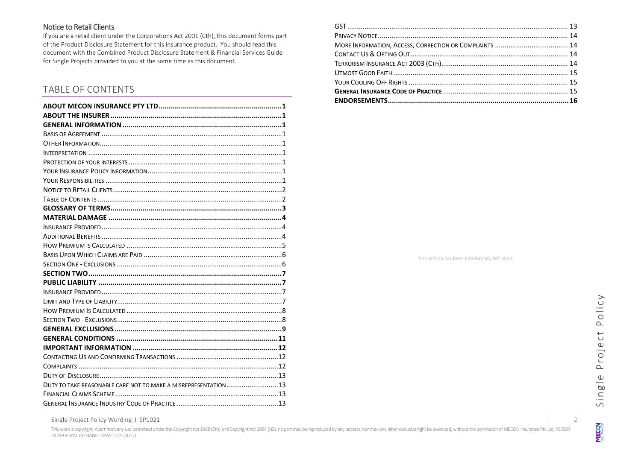## <span id="page-1-0"></span>Notice to Retail Clients

If you are a retail client under the Corporations Act 2001 (Cth), this document forms part of the Product Disclosure Statement for this insurance product. You should read this document with the Combined Product Disclosure Statement & Financial Services Guide for Single Projects provided to you at the same time as this document.

# <span id="page-1-1"></span>TABLE OF CONTENTS

| DUTY TO TAKE REASONABLE CARE NOT TO MAKE A MISREPRESENTATION13 |  |
|----------------------------------------------------------------|--|
|                                                                |  |
|                                                                |  |

This section has been intentionally left blank

**MECON** 

Single Project Policy Wording 1 SP1021 2

This work is copyright. Apart from any use permitted under the Copyright Act 1968 (Cth) and Copyright Act 1969 (Na), no part may be reproduced by any process, nor may any other exclusive right be exercised, without the per R1789 ROYAL EXCHANGE NSW 1225 (2017).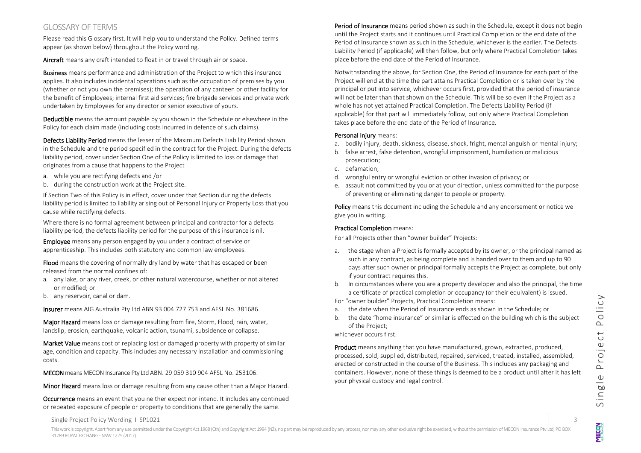## <span id="page-2-0"></span>GLOSSARY OF TERMS

Please read this Glossary first. It will help you to understand the Policy. Defined terms appear (as shown below) throughout the Policy wording.

Aircraft means any craft intended to float in or travel through air or space.

Business means performance and administration of the Project to which this insurance applies. It also includes incidental operations such as the occupation of premises by you (whether or not you own the premises); the operation of any canteen or other facility for the benefit of Employees; internal first aid services; fire brigade services and private work undertaken by Employees for any director or senior executive of yours.

Deductible means the amount payable by you shown in the Schedule or elsewhere in the Policy for each claim made (including costs incurred in defence of such claims).

Defects Liability Period means the lesser of the Maximum Defects Liability Period shown in the Schedule and the period specified in the contract for the Project. During the defects liability period, cover under Section One of the Policy is limited to loss or damage that originates from a cause that happens to the Project

- a. while you are rectifying defects and /or
- b. during the construction work at the Project site.

If Section Two of this Policy is in effect, cover under that Section during the defects liability period is limited to liability arising out of Personal Injury or Property Loss that you cause while rectifying defects.

Where there is no formal agreement between principal and contractor for a defects liability period, the defects liability period for the purpose of this insurance is nil.

Employee means any person engaged by you under a contract of service or apprenticeship. This includes both statutory and common law employees.

Flood means the covering of normally dry land by water that has escaped or been released from the normal confines of:

- a. any lake, or any river, creek, or other natural watercourse, whether or not altered or modified; or
- b. any reservoir, canal or dam.

Insurer means AIG Australia Pty Ltd ABN 93 004 727 753 and AFSL No. 381686.

Major Hazard means loss or damage resulting from fire, Storm, Flood, rain, water, landslip, erosion, earthquake, volcanic action, tsunami, subsidence or collapse.

Market Value means cost of replacing lost or damaged property with property of similar age, condition and capacity. This includes any necessary installation and commissioning costs.

MECON means MECON Insurance Pty Ltd ABN. 29 059 310 904 AFSL No. 253106.

Minor Hazard means loss or damage resulting from any cause other than a Major Hazard.

Occurrence means an event that you neither expect nor intend. It includes any continued or repeated exposure of people or property to conditions that are generally the same.

Period of Insurance means period shown as such in the Schedule, except it does not begin until the Project starts and it continues until Practical Completion or the end date of the Period of Insurance shown as such in the Schedule, whichever is the earlier. The Defects Liability Period (if applicable) will then follow, but only where Practical Completion takes place before the end date of the Period of Insurance.

Notwithstanding the above, for Section One, the Period of Insurance for each part of the Project will end at the time the part attains Practical Completion or is taken over by the principal or put into service, whichever occurs first, provided that the period of insurance will not be later than that shown on the Schedule. This will be so even if the Project as a whole has not yet attained Practical Completion. The Defects Liability Period (if applicable) for that part will immediately follow, but only where Practical Completion takes place before the end date of the Period of Insurance.

#### Personal Injury means:

- a. bodily injury, death, sickness, disease, shock, fright, mental anguish or mental injury;
- b. false arrest, false detention, wrongful imprisonment, humiliation or malicious prosecution;
- c. defamation;
- d. wrongful entry or wrongful eviction or other invasion of privacy; or
- e. assault not committed by you or at your direction, unless committed for the purpose of preventing or eliminating danger to people or property.

Policy means this document including the Schedule and any endorsement or notice we give you in writing.

#### Practical Completion means:

For all Projects other than "owner builder" Projects:

- a. the stage when a Project is formally accepted by its owner, or the principal named as such in any contract, as being complete and is handed over to them and up to 90 days after such owner or principal formally accepts the Project as complete, but only if your contract requires this.
- b. In circumstances where you are a property developer and also the principal, the time a certificate of practical completion or occupancy (or their equivalent) is issued.
- For "owner builder" Projects, Practical Completion means:
- a. the date when the Period of Insurance ends as shown in the Schedule; or
- b. the date "home insurance" or similar is effected on the building which is the subject of the Project;

whichever occurs first.

Product means anything that you have manufactured, grown, extracted, produced, processed, sold, supplied, distributed, repaired, serviced, treated, installed, assembled, erected or constructed in the course of the Business. This includes any packaging and containers. However, none of these things is deemed to be a product until after it has left your physical custody and legal control.

**MECON**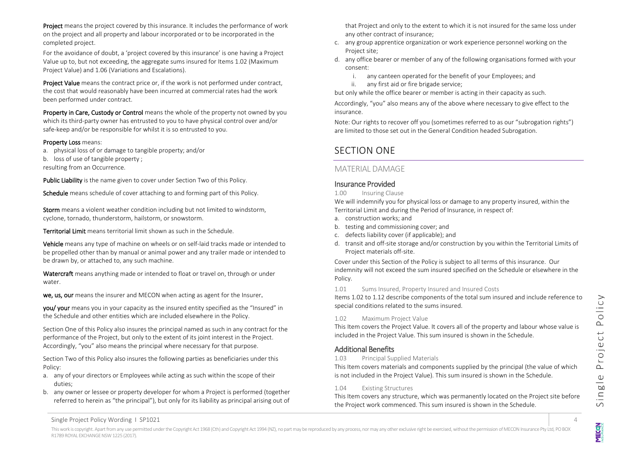Project means the project covered by this insurance. It includes the performance of work on the project and all property and labour incorporated or to be incorporated in the completed project.

For the avoidance of doubt, a 'project covered by this insurance' is one having a Project Value up to, but not exceeding, the aggregate sums insured for Items 1.02 (Maximum Project Value) and 1.06 (Variations and Escalations).

Project Value means the contract price or, if the work is not performed under contract. the cost that would reasonably have been incurred at commercial rates had the work been performed under contract.

Property in Care, Custody or Control means the whole of the property not owned by you which its third-party owner has entrusted to you to have physical control over and/or safe-keep and/or be responsible for whilst it is so entrusted to you.

#### Property Loss means:

a. physical loss of or damage to tangible property; and/or

b. loss of use of tangible property ;

resulting from an Occurrence.

Public Liability is the name given to cover under Section Two of this Policy.

Schedule means schedule of cover attaching to and forming part of this Policy.

Storm means a violent weather condition including but not limited to windstorm, cyclone, tornado, thunderstorm, hailstorm, or snowstorm.

Territorial Limit means territorial limit shown as such in the Schedule.

Vehicle means any type of machine on wheels or on self-laid tracks made or intended to be propelled other than by manual or animal power and any trailer made or intended to be drawn by, or attached to, any such machine.

Watercraft means anything made or intended to float or travel on, through or under water.

we, us, our means the insurer and MECON when acting as agent for the Insurer.

you/ your means you in your capacity as the insured entity specified as the "Insured" in the Schedule and other entities which are included elsewhere in the Policy.

Section One of this Policy also insures the principal named as such in any contract for the performance of the Project, but only to the extent of its joint interest in the Project. Accordingly, "you" also means the principal where necessary for that purpose.

Section Two of this Policy also insures the following parties as beneficiaries under this Policy:

- a. any of your directors or Employees while acting as such within the scope of their duties;
- b. any owner or lessee or property developer for whom a Project is performed (together referred to herein as "the principal"), but only for its liability as principal arising out of

that Project and only to the extent to which it is not insured for the same loss under any other contract of insurance;

- c. any group apprentice organization or work experience personnel working on the Project site;
- d. any office bearer or member of any of the following organisations formed with your consent:
	- i. any canteen operated for the benefit of your Employees; and
	- ii. any first aid or fire brigade service;

but only while the office bearer or member is acting in their capacity as such.

Accordingly, "you" also means any of the above where necessary to give effect to the insurance.

Note: Our rights to recover off you (sometimes referred to as our "subrogation rights") are limited to those set out in the General Condition headed Subrogation.

# SECTION ONE

## <span id="page-3-0"></span>MATERIAL DAMAGE

## <span id="page-3-1"></span>Insurance Provided

#### 1.00 Insuring Clause

We will indemnify you for physical loss or damage to any property insured, within the Territorial Limit and during the Period of Insurance, in respect of:

- a. construction works; and
- b. testing and commissioning cover; and
- c. defects liability cover (if applicable); and
- d. transit and off-site storage and/or construction by you within the Territorial Limits of Project materials off-site.

Cover under this Section of the Policy is subject to all terms of this insurance. Our indemnity will not exceed the sum insured specified on the Schedule or elsewhere in the Policy.

#### 1.01 Sums Insured, Property Insured and Insured Costs

Items 1.02 to 1.12 describe components of the total sum insured and include reference to special conditions related to the sums insured.

#### 1.02 Maximum Project Value

This Item covers the Project Value. It covers all of the property and labour whose value is included in the Project Value. This sum insured is shown in the Schedule.

## <span id="page-3-2"></span>Additional Benefits

#### 1.03 Principal Supplied Materials

This Item covers materials and components supplied by the principal (the value of which is not included in the Project Value). This sum insured is shown in the Schedule.

#### 1.04 Existing Structures

This Item covers any structure, which was permanently located on the Project site before the Project work commenced. This sum insured is shown in the Schedule.

**MECON**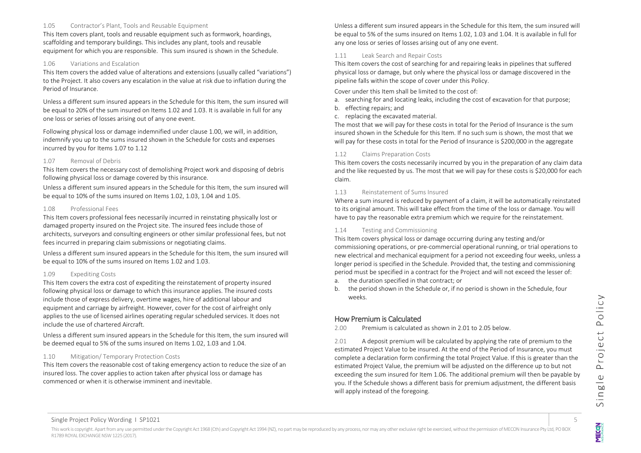#### 1.05 Contractor's Plant, Tools and Reusable Equipment

This Item covers plant, tools and reusable equipment such as formwork, hoardings, scaffolding and temporary buildings. This includes any plant, tools and reusable equipment for which you are responsible. This sum insured is shown in the Schedule.

#### 1.06 Variations and Escalation

This Item covers the added value of alterations and extensions (usually called "variations") to the Project. It also covers any escalation in the value at risk due to inflation during the Period of Insurance.

Unless a different sum insured appears in the Schedule for this Item, the sum insured will be equal to 20% of the sum insured on Items 1.02 and 1.03. It is available in full for any one loss or series of losses arising out of any one event.

Following physical loss or damage indemnified under clause 1.00, we will, in addition, indemnify you up to the sums insured shown in the Schedule for costs and expenses incurred by you for Items 1.07 to 1.12

#### 1.07 Removal of Debris

This Item covers the necessary cost of demolishing Project work and disposing of debris following physical loss or damage covered by this insurance.

Unless a different sum insured appears in the Schedule for this Item, the sum insured will be equal to 10% of the sums insured on Items 1.02, 1.03, 1.04 and 1.05.

#### 1.08 Professional Fees

This Item covers professional fees necessarily incurred in reinstating physically lost or damaged property insured on the Project site. The insured fees include those of architects, surveyors and consulting engineers or other similar professional fees, but not fees incurred in preparing claim submissions or negotiating claims.

Unless a different sum insured appears in the Schedule for this Item, the sum insured will be equal to 10% of the sums insured on Items 1.02 and 1.03.

#### 1.09 Expediting Costs

This Item covers the extra cost of expediting the reinstatement of property insured following physical loss or damage to which this insurance applies. The insured costs include those of express delivery, overtime wages, hire of additional labour and equipment and carriage by airfreight. However, cover for the cost of airfreight only applies to the use of licensed airlines operating regular scheduled services. It does not include the use of chartered Aircraft.

Unless a different sum insured appears in the Schedule for this Item, the sum insured will be deemed equal to 5% of the sums insured on Items 1.02, 1.03 and 1.04.

#### 1.10 Mitigation/ Temporary Protection Costs

This Item covers the reasonable cost of taking emergency action to reduce the size of an insured loss. The cover applies to action taken after physical loss or damage has commenced or when it is otherwise imminent and inevitable.

Unless a different sum insured appears in the Schedule for this Item, the sum insured will be equal to 5% of the sums insured on Items 1.02, 1.03 and 1.04. It is available in full for any one loss or series of losses arising out of any one event.

#### 1.11 Leak Search and Repair Costs

This Item covers the cost of searching for and repairing leaks in pipelines that suffered physical loss or damage, but only where the physical loss or damage discovered in the pipeline falls within the scope of cover under this Policy.

Cover under this Item shall be limited to the cost of:

- a. searching for and locating leaks, including the cost of excavation for that purpose;
- b. effecting repairs; and
- c. replacing the excavated material.

The most that we will pay for these costs in total for the Period of Insurance is the sum insured shown in the Schedule for this Item. If no such sum is shown, the most that we will pay for these costs in total for the Period of Insurance is \$200,000 in the aggregate

#### 1.12 Claims Preparation Costs

This Item covers the costs necessarily incurred by you in the preparation of any claim data and the like requested by us. The most that we will pay for these costs is \$20,000 for each claim.

#### 1.13 Reinstatement of Sums Insured

Where a sum insured is reduced by payment of a claim, it will be automatically reinstated to its original amount. This will take effect from the time of the loss or damage. You will have to pay the reasonable extra premium which we require for the reinstatement.

#### 1.14 Testing and Commissioning

This Item covers physical loss or damage occurring during any testing and/or commissioning operations, or pre-commercial operational running, or trial operations to new electrical and mechanical equipment for a period not exceeding four weeks, unless a longer period is specified in the Schedule. Provided that, the testing and commissioning period must be specified in a contract for the Project and will not exceed the lesser of:

- a. the duration specified in that contract; or
- b. the period shown in the Schedule or, if no period is shown in the Schedule, four weeks.

## <span id="page-4-0"></span>How Premium is Calculated

2.00 Premium is calculated as shown in 2.01 to 2.05 below.

2.01 A deposit premium will be calculated by applying the rate of premium to the estimated Project Value to be insured. At the end of the Period of Insurance, you must complete a declaration form confirming the total Project Value. If this is greater than the estimated Project Value, the premium will be adjusted on the difference up to but not exceeding the sum insured for Item 1.06. The additional premium will then be payable by you. If the Schedule shows a different basis for premium adjustment, the different basis will apply instead of the foregoing.

**MECON**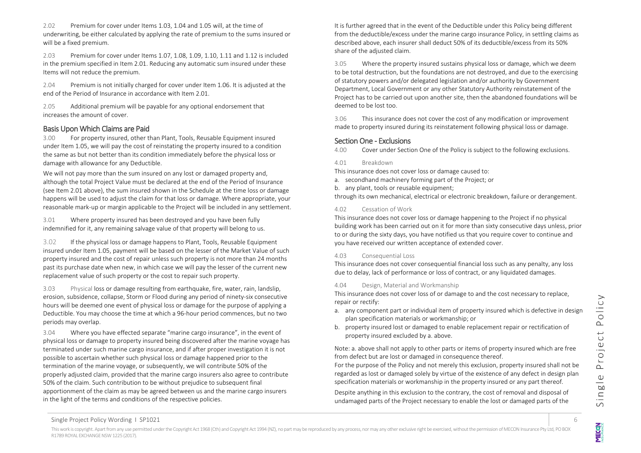2.02 Premium for cover under Items 1.03, 1.04 and 1.05 will, at the time of underwriting, be either calculated by applying the rate of premium to the sums insured or will be a fixed premium.

2.03 Premium for cover under Items 1.07, 1.08, 1.09, 1.10, 1.11 and 1.12 is included in the premium specified in Item 2.01. Reducing any automatic sum insured under these Items will not reduce the premium.

2.04 Premium is not initially charged for cover under Item 1.06. It is adjusted at the end of the Period of Insurance in accordance with Item 2.01.

2.05 Additional premium will be payable for any optional endorsement that increases the amount of cover.

#### <span id="page-5-0"></span>Basis Upon Which Claims are Paid

3.00 For property insured, other than Plant, Tools, Reusable Equipment insured under Item 1.05, we will pay the cost of reinstating the property insured to a condition the same as but not better than its condition immediately before the physical loss or damage with allowance for any Deductible.

We will not pay more than the sum insured on any lost or damaged property and, although the total Project Value must be declared at the end of the Period of Insurance (see Item 2.01 above), the sum insured shown in the Schedule at the time loss or damage happens will be used to adjust the claim for that loss or damage. Where appropriate, your reasonable mark-up or margin applicable to the Project will be included in any settlement.

3.01 Where property insured has been destroyed and you have been fully indemnified for it, any remaining salvage value of that property will belong to us.

3.02 If the physical loss or damage happens to Plant, Tools, Reusable Equipment insured under Item 1.05, payment will be based on the lesser of the Market Value of such property insured and the cost of repair unless such property is not more than 24 months past its purchase date when new, in which case we will pay the lesser of the current new replacement value of such property or the cost to repair such property.

3.03 Physical loss or damage resulting from earthquake, fire, water, rain, landslip, erosion, subsidence, collapse, Storm or Flood during any period of ninety-six consecutive hours will be deemed one event of physical loss or damage for the purpose of applying a Deductible. You may choose the time at which a 96-hour period commences, but no two periods may overlap.

3.04 Where you have effected separate "marine cargo insurance", in the event of physical loss or damage to property insured being discovered after the marine voyage has terminated under such marine cargo insurance, and if after proper investigation it is not possible to ascertain whether such physical loss or damage happened prior to the termination of the marine voyage, or subsequently, we will contribute 50% of the properly adjusted claim, provided that the marine cargo insurers also agree to contribute 50% of the claim. Such contribution to be without prejudice to subsequent final apportionment of the claim as may be agreed between us and the marine cargo insurers in the light of the terms and conditions of the respective policies.

It is further agreed that in the event of the Deductible under this Policy being different from the deductible/excess under the marine cargo insurance Policy, in settling claims as described above, each insurer shall deduct 50% of its deductible/excess from its 50% share of the adjusted claim.

3.05 Where the property insured sustains physical loss or damage, which we deem to be total destruction, but the foundations are not destroyed, and due to the exercising of statutory powers and/or delegated legislation and/or authority by Government Department, Local Government or any other Statutory Authority reinstatement of the Project has to be carried out upon another site, then the abandoned foundations will be deemed to be lost too.

3.06 This insurance does not cover the cost of any modification or improvement made to property insured during its reinstatement following physical loss or damage.

#### <span id="page-5-1"></span>Section One - Exclusions

4.00 Cover under Section One of the Policy is subject to the following exclusions.

#### 4.01 Breakdown

This insurance does not cover loss or damage caused to:

a. secondhand machinery forming part of the Project; or

b. any plant, tools or reusable equipment;

through its own mechanical, electrical or electronic breakdown, failure or derangement.

#### 4.02 Cessation of Work

This insurance does not cover loss or damage happening to the Project if no physical building work has been carried out on it for more than sixty consecutive days unless, prior to or during the sixty days, you have notified us that you require cover to continue and you have received our written acceptance of extended cover.

#### 4.03 Consequential Loss

This insurance does not cover consequential financial loss such as any penalty, any loss due to delay, lack of performance or loss of contract, or any liquidated damages.

#### 4.04 Design, Material and Workmanship

This insurance does not cover loss of or damage to and the cost necessary to replace, repair or rectify:

- a. any component part or individual item of property insured which is defective in design plan specification materials or workmanship; or
- b. property insured lost or damaged to enable replacement repair or rectification of property insured excluded by a. above.

Note: a. above shall not apply to other parts or items of property insured which are free from defect but are lost or damaged in consequence thereof.

For the purpose of the Policy and not merely this exclusion, property insured shall not be regarded as lost or damaged solely by virtue of the existence of any defect in design plan specification materials or workmanship in the property insured or any part thereof.

Despite anything in this exclusion to the contrary, the cost of removal and disposal of undamaged parts of the Project necessary to enable the lost or damaged parts of the

**MECON**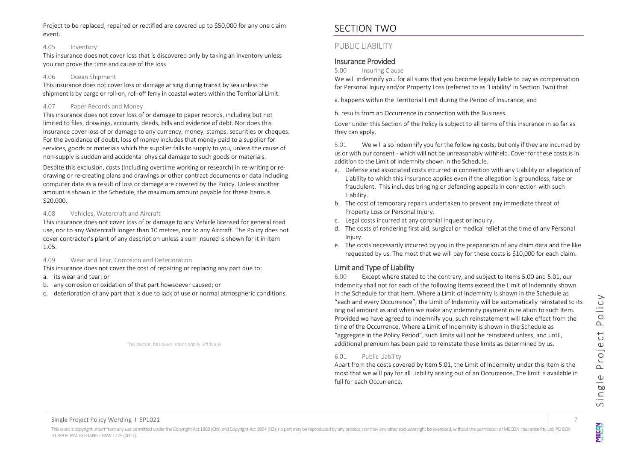#### 4.05 Inventory

This insurance does not cover loss that is discovered only by taking an inventory unless you can prove the time and cause of the loss.

#### 4.06 Ocean Shipment

This insurance does not cover loss or damage arising during transit by sea unless the shipment is by barge or roll-on, roll-off ferry in coastal waters within the Territorial Limit.

#### 4.07 Paper Records and Money

This insurance does not cover loss of or damage to paper records, including but not limited to files, drawings, accounts, deeds, bills and evidence of debt. Nor does this insurance cover loss of or damage to any currency, money, stamps, securities or cheques. For the avoidance of doubt, loss of money includes that money paid to a supplier for services, goods or materials which the supplier fails to supply to you, unless the cause of non-supply is sudden and accidental physical damage to such goods or materials.

Despite this exclusion, costs (including overtime working or research) in re-writing or redrawing or re-creating plans and drawings or other contract documents or data including computer data as a result of loss or damage are covered by the Policy. Unless another amount is shown in the Schedule, the maximum amount payable for these Items is \$20,000.

#### 4.08 Vehicles, Watercraft and Aircraft

This insurance does not cover loss of or damage to any Vehicle licensed for general road use, nor to any Watercraft longer than 10 metres, nor to any Aircraft. The Policy does not cover contractor's plant of any description unless a sum insured is shown for it in Item 1.05.

#### 4.09 Wear and Tear, Corrosion and Deterioration

This insurance does not cover the cost of repairing or replacing any part due to:

- a. its wear and tear; or
- b. any corrosion or oxidation of that part howsoever caused; or
- c. deterioration of any part that is due to lack of use or normal atmospheric conditions.

This section has been intentionally left blank

# <span id="page-6-0"></span>SECTION TWO

## <span id="page-6-1"></span>PUBLIC LIABILITY

## <span id="page-6-2"></span>Insurance Provided

5.00 Insuring Clause

We will indemnify you for all sums that you become legally liable to pay as compensation for Personal Injury and/or Property Loss (referred to as 'Liability' in Section Two) that

a. happens within the Territorial Limit during the Period of Insurance; and

b. results from an Occurrence in connection with the Business.

Cover under this Section of the Policy is subject to all terms of this insurance in so far as they can apply.

5.01 We will also indemnify you for the following costs, but only if they are incurred by us or with our consent - which will not be unreasonably withheld. Cover for these costs is in addition to the Limit of Indemnity shown in the Schedule.

- a. Defense and associated costs incurred in connection with any Liability or allegation of Liability to which this insurance applies even if the allegation is groundless, false or fraudulent. This includes bringing or defending appeals in connection with such Liability.
- b. The cost of temporary repairs undertaken to prevent any immediate threat of Property Loss or Personal Injury.
- c. Legal costs incurred at any coronial inquest or inquiry.
- d. The costs of rendering first aid, surgical or medical relief at the time of any Personal Injury.
- e. The costs necessarily incurred by you in the preparation of any claim data and the like requested by us. The most that we will pay for these costs is \$10,000 for each claim.

# <span id="page-6-3"></span>Limit and Type of Liability

6.00 Except where stated to the contrary, and subject to Items 5.00 and 5.01, our indemnity shall not for each of the following Items exceed the Limit of Indemnity shown in the Schedule for that Item. Where a Limit of Indemnity is shown in the Schedule as "each and every Occurrence", the Limit of Indemnity will be automatically reinstated to its original amount as and when we make any indemnity payment in relation to such Item. Provided we have agreed to indemnify you, such reinstatement will take effect from the time of the Occurrence. Where a Limit of Indemnity is shown in the Schedule as "aggregate in the Policy Period", such limits will not be reinstated unless, and until, additional premium has been paid to reinstate these limits as determined by us.

#### 6.01 Public Liability

Apart from the costs covered by Item 5.01, the Limit of Indemnity under this Item is the most that we will pay for all Liability arising out of an Occurrence. The limit is available in full for each Occurrence.

**MECON**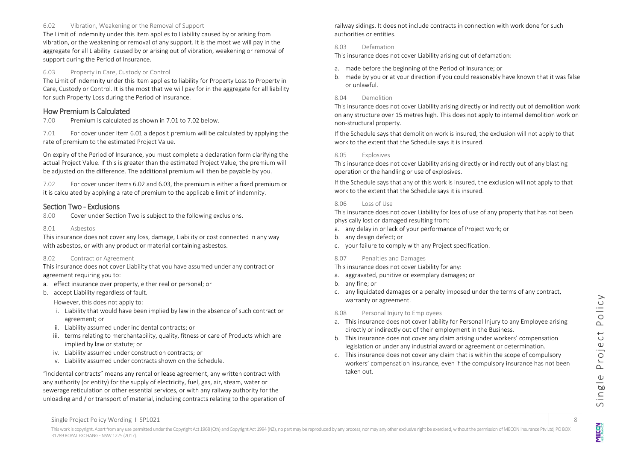#### 6.02 Vibration, Weakening or the Removal of Support

The Limit of Indemnity under this Item applies to Liability caused by or arising from vibration, or the weakening or removal of any support. It is the most we will pay in the aggregate for all Liability caused by or arising out of vibration, weakening or removal of support during the Period of Insurance.

#### 6.03 Property in Care, Custody or Control

The Limit of Indemnity under this Item applies to liability for Property Loss to Property in Care, Custody or Control. It is the most that we will pay for in the aggregate for all liability for such Property Loss during the Period of Insurance.

#### <span id="page-7-0"></span>How Premium Is Calculated

7.00 Premium is calculated as shown in 7.01 to 7.02 below.

7.01 For cover under Item 6.01 a deposit premium will be calculated by applying the rate of premium to the estimated Project Value.

On expiry of the Period of Insurance, you must complete a declaration form clarifying the actual Project Value. If this is greater than the estimated Project Value, the premium will be adjusted on the difference. The additional premium will then be payable by you.

7.02 For cover under Items 6.02 and 6.03, the premium is either a fixed premium or it is calculated by applying a rate of premium to the applicable limit of indemnity.

#### <span id="page-7-1"></span>Section Two - Exclusions

8.00 Cover under Section Two is subject to the following exclusions.

#### 8.01 Asbestos

This insurance does not cover any loss, damage, Liability or cost connected in any way with asbestos, or with any product or material containing asbestos.

#### 8.02 Contract or Agreement

This insurance does not cover Liability that you have assumed under any contract or agreement requiring you to:

- a. effect insurance over property, either real or personal; or
- b. accept Liability regardless of fault.

However, this does not apply to:

- i. Liability that would have been implied by law in the absence of such contract or agreement; or
- ii. Liability assumed under incidental contracts; or
- iii. terms relating to merchantability, quality, fitness or care of Products which are implied by law or statute; or
- iv. Liability assumed under construction contracts; or
- v. Liability assumed under contracts shown on the Schedule.

"Incidental contracts" means any rental or lease agreement, any written contract with any authority (or entity) for the supply of electricity, fuel, gas, air, steam, water or sewerage reticulation or other essential services, or with any railway authority for the unloading and / or transport of material, including contracts relating to the operation of railway sidings. It does not include contracts in connection with work done for such authorities or entities.

#### 8.03 Defamation

This insurance does not cover Liability arising out of defamation:

- a. made before the beginning of the Period of Insurance; or
- b. made by you or at your direction if you could reasonably have known that it was false or unlawful.

#### 8.04 Demolition

This insurance does not cover Liability arising directly or indirectly out of demolition work on any structure over 15 metres high. This does not apply to internal demolition work on non-structural property.

If the Schedule says that demolition work is insured, the exclusion will not apply to that work to the extent that the Schedule says it is insured.

#### 8.05 Explosives

This insurance does not cover Liability arising directly or indirectly out of any blasting operation or the handling or use of explosives.

If the Schedule says that any of this work is insured, the exclusion will not apply to that work to the extent that the Schedule says it is insured.

#### 8.06 Loss of Use

This insurance does not cover Liability for loss of use of any property that has not been physically lost or damaged resulting from:

- a. any delay in or lack of your performance of Project work; or
- b. any design defect; or
- c. your failure to comply with any Project specification.

#### 8.07 Penalties and Damages

This insurance does not cover Liability for any:

- a. aggravated, punitive or exemplary damages; or
- b. any fine; or
- c. any liquidated damages or a penalty imposed under the terms of any contract, warranty or agreement.

#### 8.08 Personal Injury to Employees

- a. This insurance does not cover liability for Personal Injury to any Employee arising directly or indirectly out of their employment in the Business.
- b. This insurance does not cover any claim arising under workers' compensation legislation or under any industrial award or agreement or determination.
- c. This insurance does not cover any claim that is within the scope of compulsory workers' compensation insurance, even if the compulsory insurance has not been taken out.

**MECON** 

Single Project Policy Wording 1 SP1021 8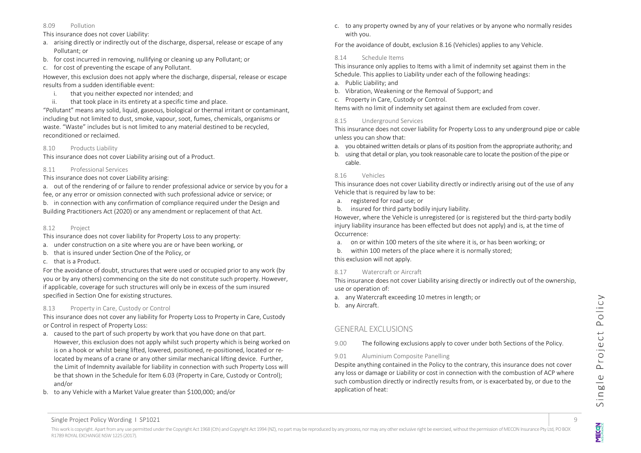#### 8.09 Pollution

This insurance does not cover Liability:

- a. arising directly or indirectly out of the discharge, dispersal, release or escape of any Pollutant; or
- b. for cost incurred in removing, nullifying or cleaning up any Pollutant; or
- c. for cost of preventing the escape of any Pollutant.

However, this exclusion does not apply where the discharge, dispersal, release or escape results from a sudden identifiable event:

- i. that you neither expected nor intended; and
- ii. that took place in its entirety at a specific time and place.

"Pollutant" means any solid, liquid, gaseous, biological or thermal irritant or contaminant, including but not limited to dust, smoke, vapour, soot, fumes, chemicals, organisms or waste. "Waste" includes but is not limited to any material destined to be recycled, reconditioned or reclaimed.

8.10 Products Liability

This insurance does not cover Liability arising out of a Product.

#### 8.11 Professional Services

#### This insurance does not cover Liability arising:

a. out of the rendering of or failure to render professional advice or service by you for a fee, or any error or omission connected with such professional advice or service; or

b. in connection with any confirmation of compliance required under the Design and Building Practitioners Act (2020) or any amendment or replacement of that Act.

#### 8.12 Project

This insurance does not cover liability for Property Loss to any property:

- a. under construction on a site where you are or have been working, or
- b. that is insured under Section One of the Policy, or
- c. that is a Product.

For the avoidance of doubt, structures that were used or occupied prior to any work (by you or by any others) commencing on the site do not constitute such property. However, if applicable, coverage for such structures will only be in excess of the sum insured specified in Section One for existing structures.

#### 8.13 Property in Care, Custody or Control

This insurance does not cover any liability for Property Loss to Property in Care, Custody or Control in respect of Property Loss:

- a. caused to the part of such property by work that you have done on that part. However, this exclusion does not apply whilst such property which is being worked on is on a hook or whilst being lifted, lowered, positioned, re-positioned, located or relocated by means of a crane or any other similar mechanical lifting device. Further, the Limit of Indemnity available for liability in connection with such Property Loss will be that shown in the Schedule for Item 6.03 (Property in Care, Custody or Control); and/or
- b. to any Vehicle with a Market Value greater than \$100,000; and/or

c. to any property owned by any of your relatives or by anyone who normally resides with you.

For the avoidance of doubt, exclusion 8.16 (Vehicles) applies to any Vehicle.

#### 8.14 Schedule Items

This insurance only applies to Items with a limit of indemnity set against them in the Schedule. This applies to Liability under each of the following headings:

- a. Public Liability; and
- b. Vibration, Weakening or the Removal of Support; and
- c. Property in Care, Custody or Control.

Items with no limit of indemnity set against them are excluded from cover.

#### 8.15 Underground Services

This insurance does not cover liability for Property Loss to any underground pipe or cable unless you can show that:

- a. you obtained written details or plans of its position from the appropriate authority; and
- b. using that detail or plan, you took reasonable care to locate the position of the pipe or cable.

## 8.16 Vehicles

This insurance does not cover Liability directly or indirectly arising out of the use of any Vehicle that is required by law to be:

- a. registered for road use; or
- b. insured for third party bodily injury liability.

However, where the Vehicle is unregistered (or is registered but the third-party bodily injury liability insurance has been effected but does not apply) and is, at the time of Occurrence:

- a. on or within 100 meters of the site where it is, or has been working; or
- b. within 100 meters of the place where it is normally stored; this exclusion will not apply.

## 8.17 Watercraft or Aircraft

This insurance does not cover Liability arising directly or indirectly out of the ownership, use or operation of:

- a. any Watercraft exceeding 10 metres in length; or
- b. any Aircraft.

## <span id="page-8-0"></span>GENERAL EXCLUSIONS

9.00 The following exclusions apply to cover under both Sections of the Policy.

## 9.01 Aluminium Composite Panelling

Despite anything contained in the Policy to the contrary, this insurance does not cover any loss or damage or Liability or cost in connection with the combustion of ACP where such combustion directly or indirectly results from, or is exacerbated by, or due to the application of heat: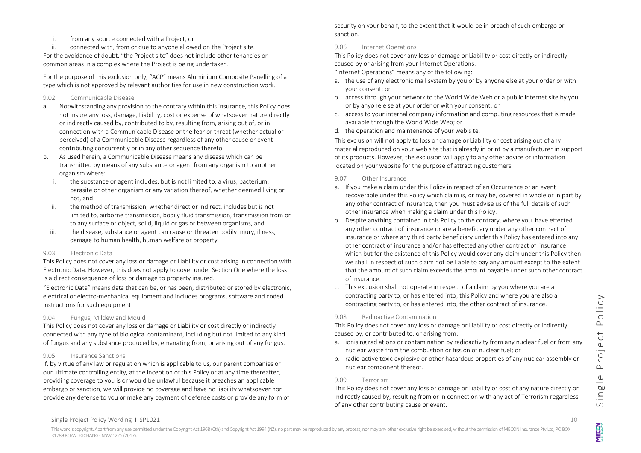i. from any source connected with a Project, or

ii. connected with, from or due to anyone allowed on the Project site. For the avoidance of doubt, "the Project site" does not include other tenancies or

common areas in a complex where the Project is being undertaken.

For the purpose of this exclusion only, "ACP" means Aluminium Composite Panelling of a type which is not approved by relevant authorities for use in new construction work.

#### 9.02 Communicable Disease

- a. Notwithstanding any provision to the contrary within this insurance, this Policy does not insure any loss, damage, Liability, cost or expense of whatsoever nature directly or indirectly caused by, contributed to by, resulting from, arising out of, or in connection with a Communicable Disease or the fear or threat (whether actual or perceived) of a Communicable Disease regardless of any other cause or event contributing concurrently or in any other sequence thereto.
- b. As used herein, a Communicable Disease means any disease which can be transmitted by means of any substance or agent from any organism to another organism where:
	- i. the substance or agent includes, but is not limited to, a virus, bacterium, parasite or other organism or any variation thereof, whether deemed living or not, and
	- ii. the method of transmission, whether direct or indirect, includes but is not limited to, airborne transmission, bodily fluid transmission, transmission from or to any surface or object, solid, liquid or gas or between organisms, and
	- iii. the disease, substance or agent can cause or threaten bodily injury, illness, damage to human health, human welfare or property.

## 9.03 Electronic Data

This Policy does not cover any loss or damage or Liability or cost arising in connection with Electronic Data. However, this does not apply to cover under Section One where the loss is a direct consequence of loss or damage to property insured.

"Electronic Data" means data that can be, or has been, distributed or stored by electronic, electrical or electro-mechanical equipment and includes programs, software and coded instructions for such equipment.

## 9.04 Fungus, Mildew and Mould

This Policy does not cover any loss or damage or Liability or cost directly or indirectly connected with any type of biological contaminant, including but not limited to any kind of fungus and any substance produced by, emanating from, or arising out of any fungus.

#### 9.05 Insurance Sanctions

If, by virtue of any law or regulation which is applicable to us, our parent companies or our ultimate controlling entity, at the inception of this Policy or at any time thereafter, providing coverage to you is or would be unlawful because it breaches an applicable embargo or sanction, we will provide no coverage and have no liability whatsoever nor provide any defense to you or make any payment of defense costs or provide any form of security on your behalf, to the extent that it would be in breach of such embargo or sanction.

## 9.06 Internet Operations

This Policy does not cover any loss or damage or Liability or cost directly or indirectly caused by or arising from your Internet Operations.

"Internet Operations" means any of the following:

- a. the use of any electronic mail system by you or by anyone else at your order or with your consent; or
- b. access through your network to the World Wide Web or a public Internet site by you or by anyone else at your order or with your consent; or
- c. access to your internal company information and computing resources that is made available through the World Wide Web; or
- d. the operation and maintenance of your web site.

This exclusion will not apply to loss or damage or Liability or cost arising out of any material reproduced on your web site that is already in print by a manufacturer in support of its products. However, the exclusion will apply to any other advice or information located on your website for the purpose of attracting customers.

#### 9.07 Other Insurance

- a. If you make a claim under this Policy in respect of an Occurrence or an event recoverable under this Policy which claim is, or may be, covered in whole or in part by any other contract of insurance, then you must advise us of the full details of such other insurance when making a claim under this Policy.
- b. Despite anything contained in this Policy to the contrary, where you have effected any other contract of insurance or are a beneficiary under any other contract of insurance or where any third party beneficiary under this Policy has entered into any other contract of insurance and/or has effected any other contract of insurance which but for the existence of this Policy would cover any claim under this Policy then we shall in respect of such claim not be liable to pay any amount except to the extent that the amount of such claim exceeds the amount payable under such other contract of insurance.
- c. This exclusion shall not operate in respect of a claim by you where you are a contracting party to, or has entered into, this Policy and where you are also a contracting party to, or has entered into, the other contract of insurance.

#### 9.08 Radioactive Contamination

This Policy does not cover any loss or damage or Liability or cost directly or indirectly caused by, or contributed to, or arising from:

- a. ionising radiations or contamination by radioactivity from any nuclear fuel or from any nuclear waste from the combustion or fission of nuclear fuel; or
- b. radio-active toxic explosive or other hazardous properties of any nuclear assembly or nuclear component thereof.

## 9.09 Terrorism

This Policy does not cover any loss or damage or Liability or cost of any nature directly or indirectly caused by, resulting from or in connection with any act of Terrorism regardless of any other contributing cause or event.

NEO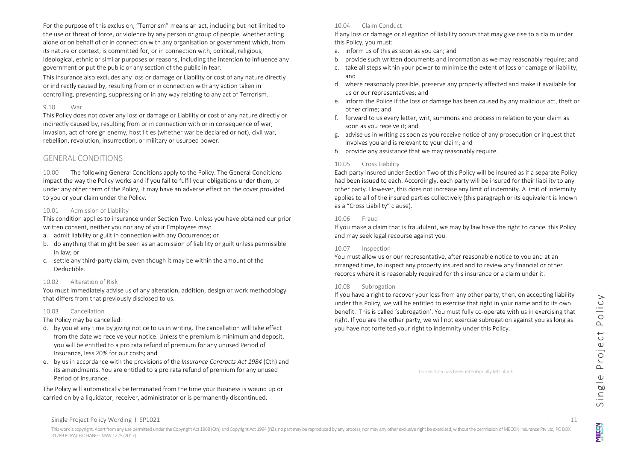For the purpose of this exclusion, "Terrorism" means an act, including but not limited to the use or threat of force, or violence by any person or group of people, whether acting alone or on behalf of or in connection with any organisation or government which, from its nature or context, is committed for, or in connection with, political, religious, ideological, ethnic or similar purposes or reasons, including the intention to influence any government or put the public or any section of the public in fear.

This insurance also excludes any loss or damage or Liability or cost of any nature directly or indirectly caused by, resulting from or in connection with any action taken in controlling, preventing, suppressing or in any way relating to any act of Terrorism.

#### 9.10 War

This Policy does not cover any loss or damage or Liability or cost of any nature directly or indirectly caused by, resulting from or in connection with or in consequence of war, invasion, act of foreign enemy, hostilities (whether war be declared or not), civil war, rebellion, revolution, insurrection, or military or usurped power.

#### <span id="page-10-0"></span>GENERAL CONDITIONS

10.00 The following General Conditions apply to the Policy. The General Conditions impact the way the Policy works and if you fail to fulfil your obligations under them, or under any other term of the Policy, it may have an adverse effect on the cover provided to you or your claim under the Policy.

#### 10.01 Admission of Liability

This condition applies to insurance under Section Two. Unless you have obtained our prior written consent, neither you nor any of your Employees may:

- a. admit liability or guilt in connection with any Occurrence; or
- b. do anything that might be seen as an admission of liability or guilt unless permissible in law; or
- c. settle any third-party claim, even though it may be within the amount of the Deductible.

#### 10.02 Alteration of Risk

You must immediately advise us of any alteration, addition, design or work methodology that differs from that previously disclosed to us.

#### 10.03 Cancellation

The Policy may be cancelled:

- d. by you at any time by giving notice to us in writing. The cancellation will take effect from the date we receive your notice. Unless the premium is minimum and deposit, you will be entitled to a pro rata refund of premium for any unused Period of Insurance, less 20% for our costs; and
- e. by us in accordance with the provisions of the *Insurance Contracts Act 1984* (Cth) and its amendments. You are entitled to a pro rata refund of premium for any unused Period of Insurance.

The Policy will automatically be terminated from the time your Business is wound up or carried on by a liquidator, receiver, administrator or is permanently discontinued.

10.04 Claim Conduct

If any loss or damage or allegation of liability occurs that may give rise to a claim under this Policy, you must:

- a. inform us of this as soon as you can; and
- b. provide such written documents and information as we may reasonably require; and
- c. take all steps within your power to minimise the extent of loss or damage or liability; and
- d. where reasonably possible, preserve any property affected and make it available for us or our representatives; and
- e. inform the Police if the loss or damage has been caused by any malicious act, theft or other crime; and
- f. forward to us every letter, writ, summons and process in relation to your claim as soon as you receive it; and
- g. advise us in writing as soon as you receive notice of any prosecution or inquest that involves you and is relevant to your claim; and
- h. provide any assistance that we may reasonably require.

#### 10.05 Cross Liability

Each party insured under Section Two of this Policy will be insured as if a separate Policy had been issued to each. Accordingly, each party will be insured for their liability to any other party. However, this does not increase any limit of indemnity. A limit of indemnity applies to all of the insured parties collectively (this paragraph or its equivalent is known as a "Cross Liability" clause).

#### 10.06 Fraud

If you make a claim that is fraudulent, we may by law have the right to cancel this Policy and may seek legal recourse against you.

#### 10.07 Inspection

You must allow us or our representative, after reasonable notice to you and at an arranged time, to inspect any property insured and to review any financial or other records where it is reasonably required for this insurance or a claim under it.

#### 10.08 Subrogation

If you have a right to recover your loss from any other party, then, on accepting liability under this Policy, we will be entitled to exercise that right in your name and to its own benefit. This is called 'subrogation'. You must fully co-operate with us in exercising that right. If you are the other party, we will not exercise subrogation against you as long as you have not forfeited your right to indemnity under this Policy.

This section has been intentionally left blank

**MECON** 

Single Project Policy Wording 1 SP1021 11 11

This work is copyright. Apart from any use permitted under the Copyright Act 1968 (Cth) and Copyright Act 1969 (Na), no part may be reproduced by any process, nor may any other exclusive right be exercised, without the per R1789 ROYAL EXCHANGE NSW 1225 (2017).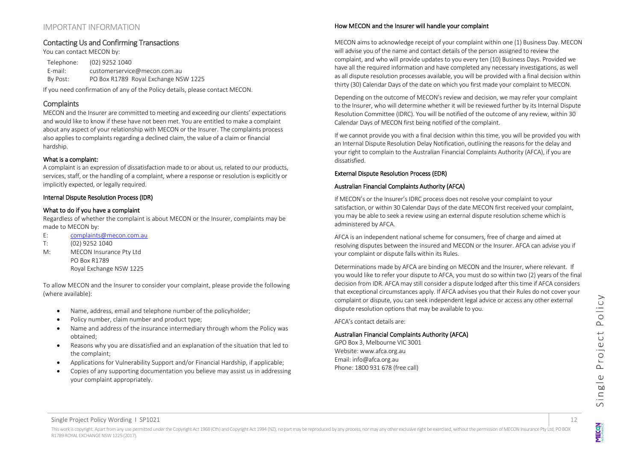## <span id="page-11-0"></span>IMPORTANT INFORMATION

## <span id="page-11-1"></span>Contacting Us and Confirming Transactions

You can contact MECON by: Telephone: (02) 9252 1040 E-mail: customerservice@mecon.com.au By Post: PO Box R1789 Royal Exchange NSW 1225

If you need confirmation of any of the Policy details, please contact MECON.

## <span id="page-11-2"></span>**Complaints**

MECON and the Insurer are committed to meeting and exceeding our clients' expectations and would like to know if these have not been met. You are entitled to make a complaint about any aspect of your relationship with MECON or the Insurer. The complaints process also applies to complaints regarding a declined claim, the value of a claim or financial hardship.

#### What is a complaint:

A complaint is an expression of dissatisfaction made to or about us, related to our products, services, staff, or the handling of a complaint, where a response or resolution is explicitly or implicitly expected, or legally required.

#### Internal Dispute Resolution Process (IDR)

#### What to do if you have a complaint

Regardless of whether the complaint is about MECON or the Insurer, complaints may be made to MECON by:

- E: [complaints@mecon.com.au](mailto:complaints@mecon.com.au)
- T: (02) 9252 1040
- M: MECON Insurance Pty Ltd PO Box R1789 Royal Exchange NSW 1225

To allow MECON and the Insurer to consider your complaint, please provide the following (where available):

- Name, address, email and telephone number of the policyholder;
- Policy number, claim number and product type;
- Name and address of the insurance intermediary through whom the Policy was obtained;
- Reasons why you are dissatisfied and an explanation of the situation that led to the complaint;
- Applications for Vulnerability Support and/or Financial Hardship, if applicable;
- Copies of any supporting documentation you believe may assist us in addressing your complaint appropriately.

#### How MECON and the Insurer will handle your complaint

MECON aims to acknowledge receipt of your complaint within one (1) Business Day. MECON will advise you of the name and contact details of the person assigned to review the complaint, and who will provide updates to you every ten (10) Business Days. Provided we have all the required information and have completed any necessary investigations, as well as all dispute resolution processes available, you will be provided with a final decision within thirty (30) Calendar Days of the date on which you first made your complaint to MECON.

Depending on the outcome of MECON's review and decision, we may refer your complaint to the Insurer, who will determine whether it will be reviewed further by its Internal Dispute Resolution Committee (IDRC). You will be notified of the outcome of any review, within 30 Calendar Days of MECON first being notified of the complaint.

If we cannot provide you with a final decision within this time, you will be provided you with an Internal Dispute Resolution Delay Notification, outlining the reasons for the delay and your right to complain to the Australian Financial Complaints Authority (AFCA), if you are dissatisfied.

## External Dispute Resolution Process (EDR)

## Australian Financial Complaints Authority (AFCA)

If MECON's or the Insurer's IDRC process does not resolve your complaint to your satisfaction, or within 30 Calendar Days of the date MECON first received your complaint, you may be able to seek a review using an external dispute resolution scheme which is administered by AFCA.

AFCA is an independent national scheme for consumers, free of charge and aimed at resolving disputes between the insured and MECON or the Insurer. AFCA can advise you if your complaint or dispute falls within its Rules.

Determinations made by AFCA are binding on MECON and the Insurer, where relevant. If you would like to refer your dispute to AFCA, you must do so within two (2) years of the final decision from IDR. AFCA may still consider a dispute lodged after this time if AFCA considers that exceptional circumstances apply. If AFCA advises you that their Rules do not cover your complaint or dispute, you can seek independent legal advice or access any other external dispute resolution options that may be available to you.

AFCA's contact details are:

#### Australian Financial Complaints Authority (AFCA)

GPO Box 3, Melbourne VIC 3001 Website: www.afca.org.au Email: info@afca.org.au Phone: 1800 931 678 (free call)

NEO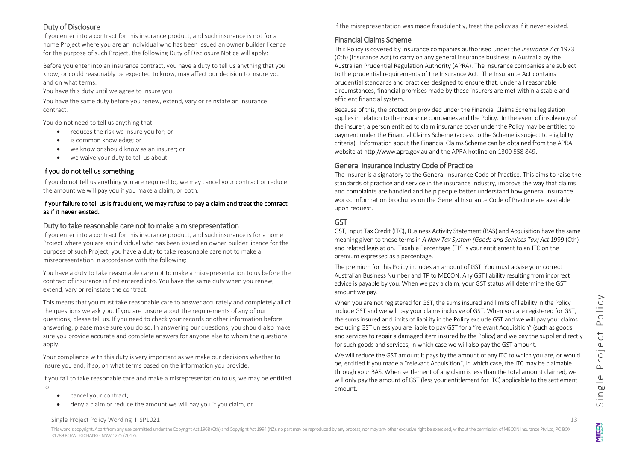## <span id="page-12-0"></span>Duty of Disclosure

If you enter into a contract for this insurance product, and such insurance is not for a home Project where you are an individual who has been issued an owner builder licence for the purpose of such Project, the following Duty of Disclosure Notice will apply:

Before you enter into an insurance contract, you have a duty to tell us anything that you know, or could reasonably be expected to know, may affect our decision to insure you and on what terms.

You have this duty until we agree to insure you.

You have the same duty before you renew, extend, vary or reinstate an insurance contract.

You do not need to tell us anything that:

- reduces the risk we insure you for; or
- is common knowledge; or
- we know or should know as an insurer; or
- we waive your duty to tell us about.

## If you do not tell us something

If you do not tell us anything you are required to, we may cancel your contract or reduce the amount we will pay you if you make a claim, or both.

#### If your failure to tell us is fraudulent, we may refuse to pay a claim and treat the contract as if it never existed.

## <span id="page-12-1"></span>Duty to take reasonable care not to make a misrepresentation

If you enter into a contract for this insurance product, and such insurance is for a home Project where you are an individual who has been issued an owner builder licence for the purpose of such Project, you have a duty to take reasonable care not to make a misrepresentation in accordance with the following:

You have a duty to take reasonable care not to make a misrepresentation to us before the contract of insurance is first entered into. You have the same duty when you renew, extend, vary or reinstate the contract.

This means that you must take reasonable care to answer accurately and completely all of the questions we ask you. If you are unsure about the requirements of any of our questions, please tell us. If you need to check your records or other information before answering, please make sure you do so. In answering our questions, you should also make sure you provide accurate and complete answers for anyone else to whom the questions apply.

Your compliance with this duty is very important as we make our decisions whether to insure you and, if so, on what terms based on the information you provide.

If you fail to take reasonable care and make a misrepresentation to us, we may be entitled to:

- cancel your contract;
- deny a claim or reduce the amount we will pay you if you claim, or

if the misrepresentation was made fraudulently, treat the policy as if it never existed.

## <span id="page-12-2"></span>Financial Claims Scheme

This Policy is covered by insurance companies authorised under the *Insurance Act* 1973 (Cth) (Insurance Act) to carry on any general insurance business in Australia by the Australian Prudential Regulation Authority (APRA). The insurance companies are subject to the prudential requirements of the Insurance Act. The Insurance Act contains prudential standards and practices designed to ensure that, under all reasonable circumstances, financial promises made by these insurers are met within a stable and efficient financial system.

Because of this, the protection provided under the Financial Claims Scheme legislation applies in relation to the insurance companies and the Policy. In the event of insolvency of the insurer, a person entitled to claim insurance cover under the Policy may be entitled to payment under the Financial Claims Scheme (access to the Scheme is subject to eligibility criteria). Information about the Financial Claims Scheme can be obtained from the APRA website at http://www.apra.gov.au and the APRA hotline on 1300 558 849.

## <span id="page-12-3"></span>General Insurance Industry Code of Practice

The Insurer is a signatory to the General Insurance Code of Practice. This aims to raise the standards of practice and service in the insurance industry, improve the way that claims and complaints are handled and help people better understand how general insurance works. Information brochures on the General Insurance Code of Practice are available upon request.

# <span id="page-12-4"></span>GST

GST, Input Tax Credit (ITC), Business Activity Statement (BAS) and Acquisition have the same meaning given to those terms in *A New Tax System (Goods and Services Tax) Act* 1999 (Cth) and related legislation. Taxable Percentage (TP) is your entitlement to an ITC on the premium expressed as a percentage.

The premium for this Policy includes an amount of GST. You must advise your correct Australian Business Number and TP to MECON. Any GST liability resulting from incorrect advice is payable by you. When we pay a claim, your GST status will determine the GST amount we pay.

When you are not registered for GST, the sums insured and limits of liability in the Policy include GST and we will pay your claims inclusive of GST. When you are registered for GST, the sums insured and limits of liability in the Policy exclude GST and we will pay your claims excluding GST unless you are liable to pay GST for a "relevant Acquisition" (such as goods and services to repair a damaged item insured by the Policy) and we pay the supplier directly for such goods and services, in which case we will also pay the GST amount.

We will reduce the GST amount it pays by the amount of any ITC to which you are, or would be, entitled if you made a "relevant Acquisition", in which case, the ITC may be claimable through your BAS. When settlement of any claim is less than the total amount claimed, we will only pay the amount of GST (less your entitlement for ITC) applicable to the settlement amount.

**MECON**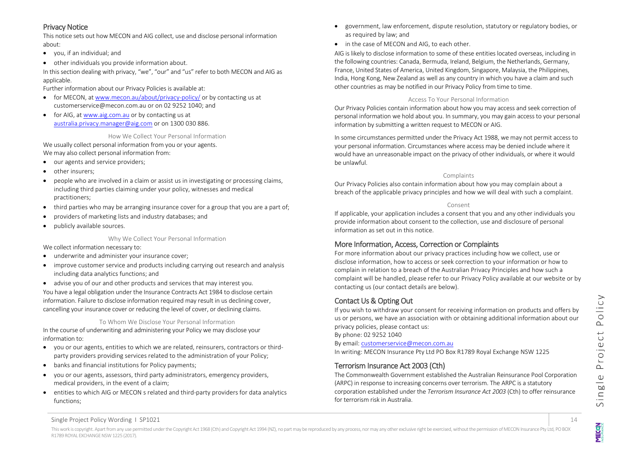## <span id="page-13-0"></span>Privacy Notice

This notice sets out how MECON and AIG collect, use and disclose personal information about:

- you, if an individual; and
- other individuals you provide information about.

In this section dealing with privacy, "we", "our" and "us" refer to both MECON and AIG as applicable.

Further information about our Privacy Policies is available at:

- for MECON, a[t www.mecon.au/about/privacy-policy/](http://www.mecon.au/about/privacy-policy/) or by contacting us at [customerservice@mecon.com.au](mailto:customerservice@mecon.com.au) or on 02 9252 1040; and
- for AIG, at [www.aig.com.au](http://www.aig.com.au/) or by contacting us at [australia.privacy.manager@aig.com](mailto:australia.privacy.manager@aig.com) or on 1300 030 886.

#### How We Collect Your Personal Information

We usually collect personal information from you or your agents. We may also collect personal information from:

- our agents and service providers;
- other insurers;
- people who are involved in a claim or assist us in investigating or processing claims, including third parties claiming under your policy, witnesses and medical practitioners;
- third parties who may be arranging insurance cover for a group that you are a part of;
- providers of marketing lists and industry databases; and
- publicly available sources.

Why We Collect Your Personal Information

We collect information necessary to:

- underwrite and administer your insurance cover;
- improve customer service and products including carrying out research and analysis including data analytics functions; and
- advise you of our and other products and services that may interest you.

You have a legal obligation under the Insurance Contracts Act 1984 to disclose certain information. Failure to disclose information required may result in us declining cover, cancelling your insurance cover or reducing the level of cover, or declining claims.

## To Whom We Disclose Your Personal Information

In the course of underwriting and administering your Policy we may disclose your information to:

- you or our agents, entities to which we are related, reinsurers, contractors or thirdparty providers providing services related to the administration of your Policy;
- banks and financial institutions for Policy payments;
- you or our agents, assessors, third party administrators, emergency providers, medical providers, in the event of a claim;
- entities to which AIG or MECON s related and third-party providers for data analytics functions;
- government, law enforcement, dispute resolution, statutory or regulatory bodies, or as required by law; and
- in the case of MECON and AIG, to each other.

AIG is likely to disclose information to some of these entities located overseas, including in the following countries: Canada, Bermuda, Ireland, Belgium, the Netherlands, Germany, France, United States of America, United Kingdom, Singapore, Malaysia, the Philippines, India, Hong Kong, New Zealand as well as any country in which you have a claim and such other countries as may be notified in our Privacy Policy from time to time.

#### Access To Your Personal Information

Our Privacy Policies contain information about how you may access and seek correction of personal information we hold about you. In summary, you may gain access to your personal information by submitting a written request to MECON or AIG.

In some circumstances permitted under the Privacy Act 1988, we may not permit access to your personal information. Circumstances where access may be denied include where it would have an unreasonable impact on the privacy of other individuals, or where it would be unlawful.

#### Complaints

Our Privacy Policies also contain information about how you may complain about a breach of the applicable privacy principles and how we will deal with such a complaint.

## Consent

If applicable, your application includes a consent that you and any other individuals you provide information about consent to the collection, use and disclosure of personal information as set out in this notice.

## <span id="page-13-1"></span>More Information, Access, Correction or Complaints

For more information about our privacy practices including how we collect, use or disclose information, how to access or seek correction to your information or how to complain in relation to a breach of the Australian Privacy Principles and how such a complaint will be handled, please refer to our Privacy Policy available at our website or by contacting us (our contact details are below).

# <span id="page-13-2"></span>Contact Us & Opting Out

If you wish to withdraw your consent for receiving information on products and offers by us or persons, we have an association with or obtaining additional information about our privacy policies, please contact us:

By phone: 02 9252 1040

By email[: customerservice@mecon.com.au](mailto:customerservice@mecon.com.au)

In writing: MECON Insurance Pty Ltd PO Box R1789 Royal Exchange NSW 1225

# <span id="page-13-3"></span>Terrorism Insurance Act 2003 (Cth)

The Commonwealth Government established the Australian Reinsurance Pool Corporation (ARPC) in response to increasing concerns over terrorism. The ARPC is a statutory corporation established under the *Terrorism Insurance Act 2003* (Cth) to offer reinsurance for terrorism risk in Australia.

NESPEN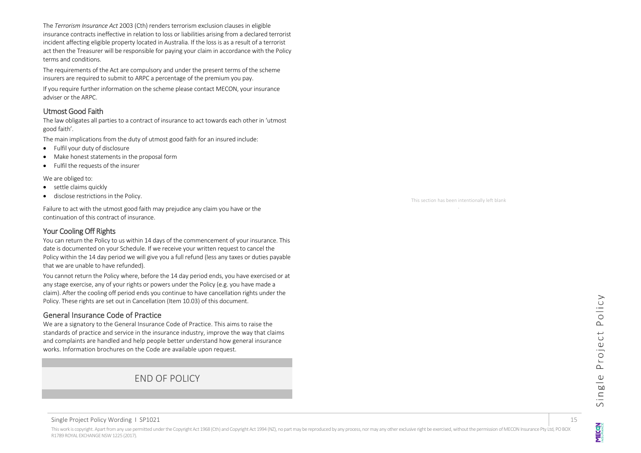The *Terrorism Insurance Act* 2003 (Cth) renders terrorism exclusion clauses in eligible insurance contracts ineffective in relation to loss or liabilities arising from a declared terrorist incident affecting eligible property located in Australia. If the loss is as a result of a terrorist act then the Treasurer will be responsible for paying your claim in accordance with the Policy terms and conditions.

The requirements of the Act are compulsory and under the present terms of the scheme insurers are required to submit to ARPC a percentage of the premium you pay.

If you require further information on the scheme please contact MECON, your insurance adviser or the ARPC.

#### <span id="page-14-0"></span>Utmost Good Faith

The law obligates all parties to a contract of insurance to act towards each other in 'utmost good faith'.

The main implications from the duty of utmost good faith for an insured include:

- Fulfil your duty of disclosure
- Make honest statements in the proposal form
- Fulfil the requests of the insurer

We are obliged to:

- settle claims quickly
- disclose restrictions in the Policy.

Failure to act with the utmost good faith may prejudice any claim you have or the continuation of this contract of insurance.

## <span id="page-14-1"></span>Your Cooling Off Rights

You can return the Policy to us within 14 days of the commencement of your insurance. This date is documented on your Schedule. If we receive your written request to cancel the Policy within the 14 day period we will give you a full refund (less any taxes or duties payable that we are unable to have refunded).

You cannot return the Policy where, before the 14 day period ends, you have exercised or at any stage exercise, any of your rights or powers under the Policy (e.g. you have made a claim). After the cooling off period ends you continue to have cancellation rights under the Policy. These rights are set out in Cancellation (Item 10.03) of this document.

## <span id="page-14-2"></span>General Insurance Code of Practice

We are a signatory to the General Insurance Code of Practice. This aims to raise the standards of practice and service in the insurance industry, improve the way that claims and complaints are handled and help people better understand how general insurance works. Information brochures on the Code are available upon request.

# END OF POLICY

This section has been intentionally left blank .

NEO

#### Single Project Policy Wording 1 SP1021 15

This work is copyright. Apart from any use permitted under the Copyright Act 1968 (Cth) and Copyright Act 1969 (Na), no part may be reproduced by any process, nor may any other exclusive right be exercised, without the per R1789 ROYAL EXCHANGE NSW 1225 (2017).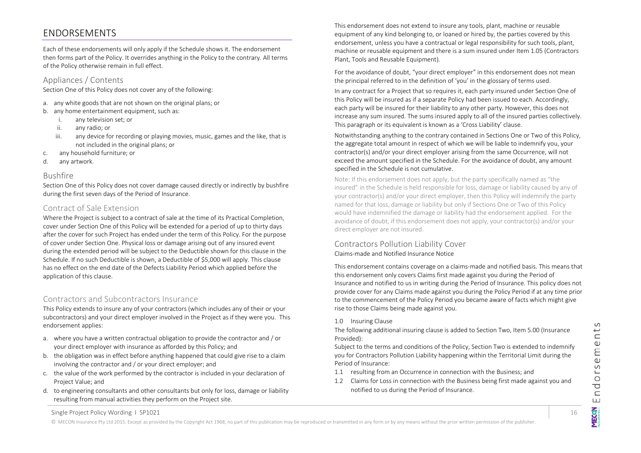# <span id="page-15-0"></span>ENDORSEMENTS

Each of these endorsements will only apply if the Schedule shows it. The endorsement then forms part of the Policy. It overrides anything in the Policy to the contrary. All terms of the Policy otherwise remain in full effect.

## Appliances / Contents

Section One of this Policy does not cover any of the following:

- a. any white goods that are not shown on the original plans; or
- b. any home entertainment equipment, such as:
	- i. any television set; or
	- ii. any radio; or
	- iii. any device for recording or playing movies, music, games and the like, that is not included in the original plans; or
- c. any household furniture; or
- d. any artwork.

#### Bushfire

Section One of this Policy does not cover damage caused directly or indirectly by bushfire during the first seven days of the Period of Insurance.

## Contract of Sale Extension

Where the Project is subject to a contract of sale at the time of its Practical Completion, cover under Section One of this Policy will be extended for a period of up to thirty days after the cover for such Project has ended under the term of this Policy. For the purpose of cover under Section One. Physical loss or damage arising out of any insured event during the extended period will be subject to the Deductible shown for this clause in the Schedule. If no such Deductible is shown, a Deductible of \$5,000 will apply. This clause has no effect on the end date of the Defects Liability Period which applied before the application of this clause.

## Contractors and Subcontractors Insurance

This Policy extends to insure any of your contractors (which includes any of their or your subcontractors) and your direct employer involved in the Project as if they were you. This endorsement applies:

- a. where you have a written contractual obligation to provide the contractor and / or your direct employer with insurance as afforded by this Policy; and
- b. the obligation was in effect before anything happened that could give rise to a claim involving the contractor and / or your direct employer; and
- c. the value of the work performed by the contractor is included in your declaration of Project Value; and
- d. to engineering consultants and other consultants but only for loss, damage or liability resulting from manual activities they perform on the Project site.

This endorsement does not extend to insure any tools, plant, machine or reusable equipment of any kind belonging to, or loaned or hired by, the parties covered by this endorsement, unless you have a contractual or legal responsibility for such tools, plant, machine or reusable equipment and there is a sum insured under Item 1.05 (Contractors Plant, Tools and Reusable Equipment).

For the avoidance of doubt, "your direct employer" in this endorsement does not mean the principal referred to in the definition of 'you' in the glossary of terms used.

In any contract for a Project that so requires it, each party insured under Section One of this Policy will be insured as if a separate Policy had been issued to each. Accordingly, each party will be insured for their liability to any other party. However, this does not increase any sum insured. The sums insured apply to all of the insured parties collectively. This paragraph or its equivalent is known as a 'Cross Liability' clause.

Notwithstanding anything to the contrary contained in Sections One or Two of this Policy, the aggregate total amount in respect of which we will be liable to indemnify you, your contractor(s) and/or your direct employer arising from the same Occurrence, will not exceed the amount specified in the Schedule. For the avoidance of doubt, any amount specified in the Schedule is not cumulative.

Note: If this endorsement does not apply, but the party specifically named as "the insured" in the Schedule is held responsible for loss, damage or liability caused by any of your contractor(s) and/or your direct employer, then this Policy will indemnify the party named for that loss, damage or liability but only if Sections One or Two of this Policy would have indemnified the damage or liability had the endorsement applied. For the avoidance of doubt, if this endorsement does not apply, your contractor(s) and/or your direct employer are not insured.

## Contractors Pollution Liability Cover Claims-made and Notified Insurance Notice

This endorsement contains coverage on a claims-made and notified basis. This means that this endorsement only covers Claims first made against you during the Period of Insurance and notified to us in writing during the Period of Insurance. This policy does not provide cover for any Claims made against you during the Policy Period if at any time prior to the commencement of the Policy Period you became aware of facts which might give rise to those Claims being made against you.

#### 1.0 Insuring Clause

The following additional insuring clause is added to Section Two, Item 5.00 (Insurance Provided):

Subject to the terms and conditions of the Policy, Section Two is extended to indemnify you for Contractors Pollution Liability happening within the Territorial Limit during the Period of Insurance:

- 1.1 resulting from an Occurrence in connection with the Business; and
- 1.2 Claims for Loss in connection with the Business being first made against you and notified to us during the Period of Insurance.

Endorsements **MECON** 

Single Project Policy Wording 1 SP1021 16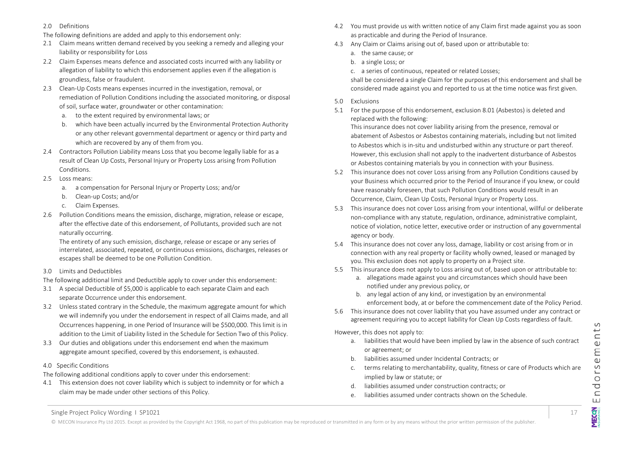- 2.0 Definitions
- The following definitions are added and apply to this endorsement only:
- 2.1 Claim means written demand received by you seeking a remedy and alleging your liability or responsibility for Loss
- 2.2 Claim Expenses means defence and associated costs incurred with any liability or allegation of liability to which this endorsement applies even if the allegation is groundless, false or fraudulent.
- 2.3 Clean-Up Costs means expenses incurred in the investigation, removal, or remediation of Pollution Conditions including the associated monitoring, or disposal of soil, surface water, groundwater or other contamination:
	- a. to the extent required by environmental laws; or
	- b. which have been actually incurred by the Environmental Protection Authority or any other relevant governmental department or agency or third party and which are recovered by any of them from you.
- 2.4 Contractors Pollution Liability means Loss that you become legally liable for as a result of Clean Up Costs, Personal Injury or Property Loss arising from Pollution Conditions.
- 2.5 Loss means:
	- a. a compensation for Personal Injury or Property Loss; and/or
	- b. Clean-up Costs; and/or
	- c. Claim Expenses.
- 2.6 Pollution Conditions means the emission, discharge, migration, release or escape, after the effective date of this endorsement, of Pollutants, provided such are not naturally occurring.

The entirety of any such emission, discharge, release or escape or any series of interrelated, associated, repeated, or continuous emissions, discharges, releases or escapes shall be deemed to be one Pollution Condition.

3.0 Limits and Deductibles

The following additional limit and Deductible apply to cover under this endorsement:

- 3.1 A special Deductible of \$5,000 is applicable to each separate Claim and each separate Occurrence under this endorsement.
- 3.2 Unless stated contrary in the Schedule, the maximum aggregate amount for which we will indemnify you under the endorsement in respect of all Claims made, and all Occurrences happening, in one Period of Insurance will be \$500,000. This limit is in addition to the Limit of Liability listed in the Schedule for Section Two of this Policy.
- 3.3 Our duties and obligations under this endorsement end when the maximum aggregate amount specified, covered by this endorsement, is exhausted.
- 4.0 Specific Conditions

The following additional conditions apply to cover under this endorsement:

4.1 This extension does not cover liability which is subject to indemnity or for which a claim may be made under other sections of this Policy.

- 4.2 You must provide us with written notice of any Claim first made against you as soon as practicable and during the Period of Insurance.
- 4.3 Any Claim or Claims arising out of, based upon or attributable to:
	- a. the same cause; or
	- b. a single Loss; or
	- c. a series of continuous, repeated or related Losses;

shall be considered a single Claim for the purposes of this endorsement and shall be considered made against you and reported to us at the time notice was first given.

- 5.0 Exclusions
- 5.1 For the purpose of this endorsement, exclusion 8.01 (Asbestos) is deleted and replaced with the following:

This insurance does not cover liability arising from the presence, removal or abatement of Asbestos or Asbestos containing materials, including but not limited to Asbestos which is in-situ and undisturbed within any structure or part thereof. However, this exclusion shall not apply to the inadvertent disturbance of Asbestos or Asbestos containing materials by you in connection with your Business.

- 5.2 This insurance does not cover Loss arising from any Pollution Conditions caused by your Business which occurred prior to the Period of Insurance if you knew, or could have reasonably foreseen, that such Pollution Conditions would result in an Occurrence, Claim, Clean Up Costs, Personal Injury or Property Loss.
- 5.3 This insurance does not cover Loss arising from your intentional, willful or deliberate non-compliance with any statute, regulation, ordinance, administrative complaint, notice of violation, notice letter, executive order or instruction of any governmental agency or body.
- 5.4 This insurance does not cover any loss, damage, liability or cost arising from or in connection with any real property or facility wholly owned, leased or managed by you. This exclusion does not apply to property on a Project site.
- 5.5 This insurance does not apply to Loss arising out of, based upon or attributable to:
	- a. allegations made against you and circumstances which should have been notified under any previous policy, or
	- b. any legal action of any kind, or investigation by an environmental enforcement body, at or before the commencement date of the Policy Period.
- 5.6 This insurance does not cover liability that you have assumed under any contract or agreement requiring you to accept liability for Clean Up Costs regardless of fault.

However, this does not apply to:

- a. liabilities that would have been implied by law in the absence of such contract or agreement; or
- b. liabilities assumed under Incidental Contracts; or
- c. terms relating to merchantability, quality, fitness or care of Products which are implied by law or statute; or
- d. liabilities assumed under construction contracts; or
- e. liabilities assumed under contracts shown on the Schedule.

Single Project Policy Wording 1 SP1021 17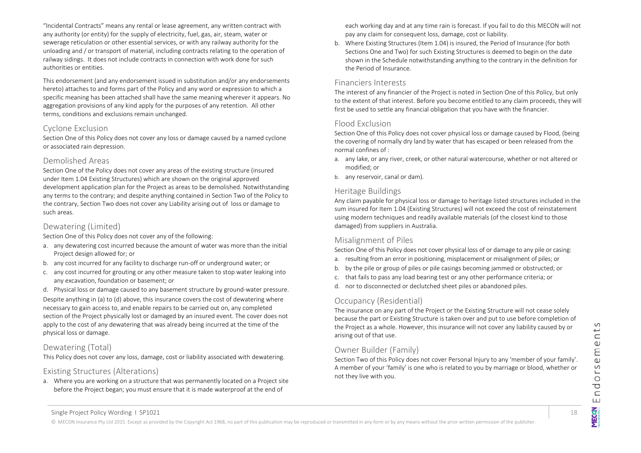"Incidental Contracts" means any rental or lease agreement, any written contract with any authority (or entity) for the supply of electricity, fuel, gas, air, steam, water or sewerage reticulation or other essential services, or with any railway authority for the unloading and / or transport of material, including contracts relating to the operation of railway sidings. It does not include contracts in connection with work done for such authorities or entities.

This endorsement (and any endorsement issued in substitution and/or any endorsements hereto) attaches to and forms part of the Policy and any word or expression to which a specific meaning has been attached shall have the same meaning wherever it appears. No aggregation provisions of any kind apply for the purposes of any retention.All other terms, conditions and exclusions remain unchanged.

## Cyclone Exclusion

Section One of this Policy does not cover any loss or damage caused by a named cyclone or associated rain depression.

## Demolished Areas

Section One of the Policy does not cover any areas of the existing structure (insured under Item 1.04 Existing Structures) which are shown on the original approved development application plan for the Project as areas to be demolished. Notwithstanding any terms to the contrary; and despite anything contained in Section Two of the Policy to the contrary, Section Two does not cover any Liability arising out of loss or damage to such areas.

#### Dewatering (Limited)

Section One of this Policy does not cover any of the following:

- a. any dewatering cost incurred because the amount of water was more than the initial Project design allowed for; or
- b. any cost incurred for any facility to discharge run-off or underground water; or
- c. any cost incurred for grouting or any other measure taken to stop water leaking into any excavation, foundation or basement; or

d. Physical loss or damage caused to any basement structure by ground-water pressure. Despite anything in (a) to (d) above, this insurance covers the cost of dewatering where necessary to gain access to, and enable repairs to be carried out on, any completed section of the Project physically lost or damaged by an insured event. The cover does not apply to the cost of any dewatering that was already being incurred at the time of the physical loss or damage.

## Dewatering (Total)

This Policy does not cover any loss, damage, cost or liability associated with dewatering.

## Existing Structures (Alterations)

a. Where you are working on a structure that was permanently located on a Project site before the Project began; you must ensure that it is made waterproof at the end of

each working day and at any time rain is forecast. If you fail to do this MECON will not pay any claim for consequent loss, damage, cost or liability.

b. Where Existing Structures (Item 1.04) is insured, the Period of Insurance (for both Sections One and Two) for such Existing Structures is deemed to begin on the date shown in the Schedule notwithstanding anything to the contrary in the definition for the Period of Insurance.

## Financiers Interests

The interest of any financier of the Project is noted in Section One of this Policy, but only to the extent of that interest. Before you become entitled to any claim proceeds, they will first be used to settle any financial obligation that you have with the financier.

#### Flood Exclusion

Section One of this Policy does not cover physical loss or damage caused by Flood, (being the covering of normally dry land by water that has escaped or been released from the normal confines of :

- a. any lake, or any river, creek, or other natural watercourse, whether or not altered or modified; or
- b. any reservoir, canal or dam).

## Heritage Buildings

Any claim payable for physical loss or damage to heritage listed structures included in the sum insured for Item 1.04 (Existing Structures) will not exceed the cost of reinstatement using modern techniques and readily available materials (of the closest kind to those damaged) from suppliers in Australia.

## Misalignment of Piles

Section One of this Policy does not cover physical loss of or damage to any pile or casing:

- a. resulting from an error in positioning, misplacement or misalignment of piles; or
- b. by the pile or group of piles or pile casings becoming jammed or obstructed; or
- c. that fails to pass any load bearing test or any other performance criteria; or
- d. nor to disconnected or declutched sheet piles or abandoned piles.

## Occupancy (Residential)

The insurance on any part of the Project or the Existing Structure will not cease solely because the part or Existing Structure is taken over and put to use before completion of the Project as a whole. However, this insurance will not cover any liability caused by or arising out of that use.

## Owner Builder (Family)

Section Two of this Policy does not cover Personal Injury to any 'member of your family'. A member of your 'family' is one who is related to you by marriage or blood, whether or not they live with you.

Single Project Policy Wording 1 SP1021 18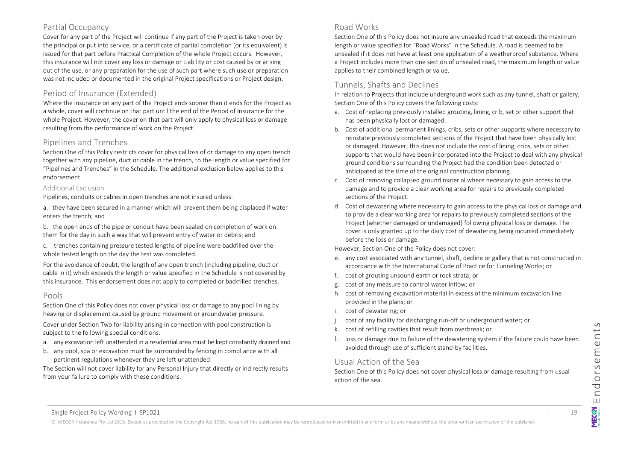## Partial Occupancy

Cover for any part of the Project will continue if any part of the Project is taken over by the principal or put into service, or a certificate of partial completion (or its equivalent) is issued for that part before Practical Completion of the whole Project occurs. However, this insurance will not cover any loss or damage or Liability or cost caused by or arising out of the use, or any preparation for the use of such part where such use or preparation was not included or documented in the original Project specifications or Project design.

## Period of Insurance (Extended)

Where the insurance on any part of the Project ends sooner than it ends for the Project as a whole, cover will continue on that part until the end of the Period of Insurance for the whole Project. However, the cover on that part will only apply to physical loss or damage resulting from the performance of work on the Project.

## Pipelines and Trenches

Section One of this Policy restricts cover for physical loss of or damage to any open trench together with any pipeline, duct or cable in the trench, to the length or value specified for "Pipelines and Trenches" in the Schedule. The additional exclusion below applies to this endorsement.

#### Additional Exclusion

Pipelines, conduits or cables in open trenches are not insured unless:

a. they have been secured in a manner which will prevent them being displaced if water enters the trench; and

b. the open ends of the pipe or conduit have been sealed on completion of work on them for the day in such a way that will prevent entry of water or debris; and

c. trenches containing pressure tested lengths of pipeline were backfilled over the whole tested length on the day the test was completed.

For the avoidance of doubt, the length of any open trench (including pipeline, duct or cable in it) which exceeds the length or value specified in the Schedule is not covered by this insurance. This endorsement does not apply to completed or backfilled trenches.

#### Pools

Section One of this Policy does not cover physical loss or damage to any pool lining by heaving or displacement caused by ground movement or groundwater pressure.

Cover under Section Two for liability arising in connection with pool construction is subject to the following special conditions:

- a. any excavation left unattended in a residential area must be kept constantly drained and
- b. any pool, spa or excavation must be surrounded by fencing in compliance with all pertinent regulations whenever they are left unattended.

The Section will not cover liability for any Personal Injury that directly or indirectly results from your failure to comply with these conditions.

## Road Works

Section One of this Policy does not insure any unsealed road that exceeds the maximum length or value specified for "Road Works" in the Schedule. A road is deemed to be unsealed if it does not have at least one application of a weatherproof substance. Where a Project includes more than one section of unsealed road, the maximum length or value applies to their combined length or value.

## Tunnels, Shafts and Declines

In relation to Projects that include underground work such as any tunnel, shaft or gallery, Section One of this Policy covers the following costs:

- a. Cost of replacing previously installed grouting, lining, crib, set or other support that has been physically lost or damaged.
- b. Cost of additional permanent linings, cribs, sets or other supports where necessary to reinstate previously completed sections of the Project that have been physically lost or damaged. However, this does not include the cost of lining, cribs, sets or other supports that would have been incorporated into the Project to deal with any physical ground conditions surrounding the Project had the condition been detected or anticipated at the time of the original construction planning.
- c. Cost of removing collapsed ground material where necessary to gain access to the damage and to provide a clear working area for repairs to previously completed sections of the Project.
- d. Cost of dewatering where necessary to gain access to the physical loss or damage and to provide a clear working area for repairs to previously completed sections of the Project (whether damaged or undamaged) following physical loss or damage. The cover is only granted up to the daily cost of dewatering being incurred immediately before the loss or damage.

However, Section One of the Policy does not cover:

- e. any cost associated with any tunnel, shaft, decline or gallery that is not constructed in accordance with the International Code of Practice for Tunneling Works; or
- f. cost of grouting unsound earth or rock strata; or
- g. cost of any measure to control water inflow; or
- h. cost of removing excavation material in excess of the minimum excavation line provided in the plans; or
- i. cost of dewatering; or
- j. cost of any facility for discharging run-off or underground water; or
- k. cost of refilling cavities that result from overbreak; or
- l. loss or damage due to failure of the dewatering system if the failure could have been avoided through use of sufficient stand-by facilities.

## Usual Action of the Sea

Section One of this Policy does not cover physical loss or damage resulting from usual action of the sea.